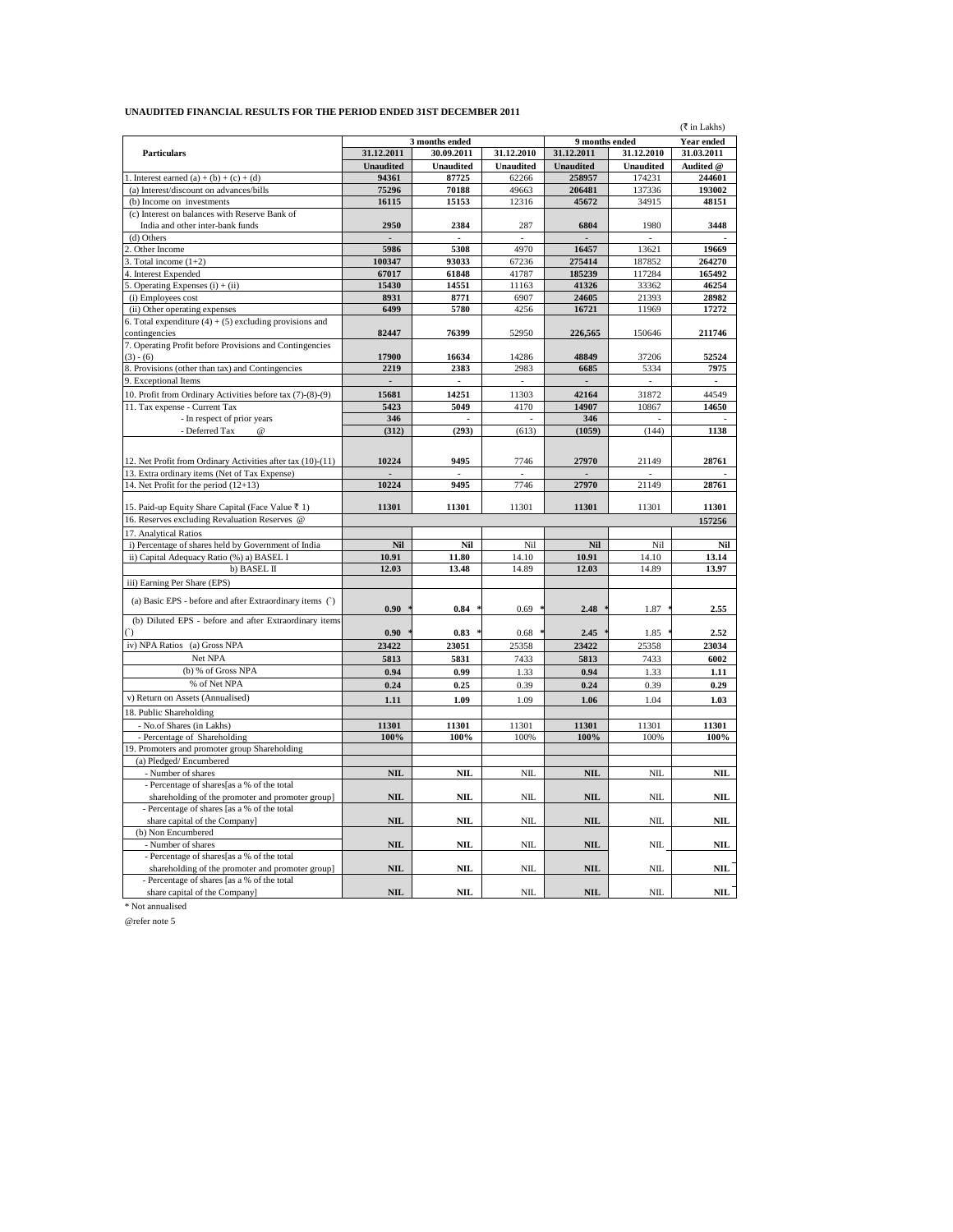## **UNAUDITED FINANCIAL RESULTS FOR THE PERIOD ENDED 31ST DECEMBER 2011**

|                                                                               |                  |                  |                  |                  |                   | (₹ in Lakhs)   |
|-------------------------------------------------------------------------------|------------------|------------------|------------------|------------------|-------------------|----------------|
|                                                                               | 3 months ended   |                  | 9 months ended   |                  | <b>Year ended</b> |                |
| <b>Particulars</b>                                                            | 31.12.2011       | 30.09.2011       | 31.12.2010       | 31.12.2011       | 31.12.2010        | 31.03.2011     |
|                                                                               | <b>Unaudited</b> | <b>Unaudited</b> | <b>Unaudited</b> | <b>Unaudited</b> | <b>Unaudited</b>  | Audited @      |
| 1. Interest earned $(a) + (b) + (c) + (d)$                                    | 94361            | 87725            | 62266            | 258957           | 174231            | 244601         |
| (a) Interest/discount on advances/bills                                       | 75296            | 70188            | 49663            | 206481           | 137336            | 193002         |
| (b) Income on investments                                                     | 16115            | 15153            | 12316            | 45672            | 34915             | 48151          |
| (c) Interest on balances with Reserve Bank of                                 |                  |                  |                  |                  |                   |                |
| India and other inter-bank funds                                              | 2950             | 2384             | 287              | 6804             | 1980              | 3448           |
| (d) Others                                                                    |                  |                  |                  |                  |                   |                |
| Other Income                                                                  | 5986             | 5308             | 4970             | 16457            | 13621             | 19669          |
| Total income $(1+2)$                                                          | 100347           | 93033            | 67236            | 275414           | 187852            | 264270         |
| 4. Interest Expended                                                          | 67017            | 61848            | 41787            | 185239           | 117284            | 165492         |
| 5. Operating Expenses $(i) + (ii)$                                            | 15430            | 14551            | 11163            | 41326            | 33362             | 46254          |
| (i) Employees cost                                                            | 8931             | 8771             | 6907             | 24605            | 21393             | 28982          |
| (ii) Other operating expenses                                                 | 6499             | 5780             | 4256             | 16721            | 11969             | 17272          |
| 6. Total expenditure $(4) + (5)$ excluding provisions and                     |                  |                  |                  |                  |                   |                |
| contingencies                                                                 | 82447            | 76399            | 52950            | 226,565          | 150646            | 211746         |
| 7. Operating Profit before Provisions and Contingencies                       |                  |                  |                  |                  |                   |                |
| $(3) - (6)$                                                                   | 17900            | 16634            | 14286            | 48849            | 37206             | 52524          |
| 8. Provisions (other than tax) and Contingencies                              | 2219             | 2383             | 2983             | 6685             | 5334              | 7975           |
| 9. Exceptional Items                                                          |                  |                  |                  |                  |                   |                |
| 10. Profit from Ordinary Activities before tax (7)-(8)-(9)                    | 15681            | 14251            | 11303            | 42164            | 31872             | 44549          |
| 11. Tax expense - Current Tax                                                 | 5423             | 5049             | 4170             | 14907            | 10867             | 14650          |
| - In respect of prior years                                                   | 346              |                  |                  | 346              |                   |                |
| - Deferred Tax<br>@                                                           | (312)            | (293)            | (613)            | (1059)           | (144)             | 1138           |
|                                                                               |                  |                  |                  |                  |                   |                |
|                                                                               |                  |                  |                  |                  |                   |                |
| 12. Net Profit from Ordinary Activities after tax (10)-(11)                   | 10224            | 9495             | 7746             | 27970            | 21149             | 28761          |
| 13. Extra ordinary items (Net of Tax Expense)                                 |                  | 9495             |                  |                  |                   |                |
| 14. Net Profit for the period $(12+13)$                                       | 10224            |                  | 7746             | 27970            | 21149             | 28761          |
| 15. Paid-up Equity Share Capital (Face Value ₹ 1)                             | 11301            | 11301            | 11301            | 11301            | 11301             | 11301          |
| 16. Reserves excluding Revaluation Reserves @                                 |                  |                  |                  |                  |                   |                |
|                                                                               |                  |                  |                  |                  |                   | 157256         |
| 17. Analytical Ratios<br>i) Percentage of shares held by Government of India  | Nil              | Nil              | Nil              | Nil              | Nil               | Nil            |
|                                                                               |                  |                  |                  |                  |                   |                |
| ii) Capital Adequacy Ratio (%) a) BASEL I<br>b) BASEL II                      | 10.91<br>12.03   | 11.80<br>13.48   | 14.10<br>14.89   | 10.91<br>12.03   | 14.10<br>14.89    | 13.14<br>13.97 |
|                                                                               |                  |                  |                  |                  |                   |                |
| iii) Earning Per Share (EPS)                                                  |                  |                  |                  |                  |                   |                |
| (a) Basic EPS - before and after Extraordinary items (')                      |                  |                  |                  |                  |                   |                |
|                                                                               | 0.90             | 0.84             | 0.69             | 2.48             | 1.87              | 2.55           |
| (b) Diluted EPS - before and after Extraordinary items                        |                  |                  |                  |                  |                   |                |
| $\bigcap$                                                                     | 0.90             | 0.83             | 0.68             | 2.45             | 1.85              | 2.52           |
| iv) NPA Ratios (a) Gross NPA                                                  | 23422            | 23051            | 25358            | 23422            | 25358             | 23034          |
| Net NPA                                                                       | 5813             | 5831             | 7433             | 5813             | 7433              | 6002           |
| (b) % of Gross NPA                                                            | 0.94             | 0.99             | 1.33             | 0.94             | 1.33              | 1.11           |
| % of Net NPA                                                                  | 0.24             | 0.25             | 0.39             | 0.24             | 0.39              | 0.29           |
| v) Return on Assets (Annualised)                                              | 1.11             | 1.09             | 1.09             | 1.06             | 1.04              | 1.03           |
| 18. Public Shareholding                                                       |                  |                  |                  |                  |                   |                |
|                                                                               | 11301            | 11301            | 11301            | 11301            | 11301             | 11301          |
| - No.of Shares (in Lakhs)                                                     | 100%             | 100%             | 100%             | 100%             | 100%              | 100%           |
| - Percentage of Shareholding<br>19. Promoters and promoter group Shareholding |                  |                  |                  |                  |                   |                |
| (a) Pledged/Encumbered                                                        |                  |                  |                  |                  |                   |                |
| - Number of shares                                                            | $\mathbf{NIL}$   | NIL              | NIL              | <b>NIL</b>       | NIL               | <b>NIL</b>     |
| - Percentage of shares[as a % of the total                                    |                  |                  |                  |                  |                   |                |
| shareholding of the promoter and promoter group]                              | <b>NIL</b>       | NIL              | NIL              | <b>NIL</b>       | NIL               | NIL            |
| - Percentage of shares [as a % of the total                                   |                  |                  |                  |                  |                   |                |
| share capital of the Company]                                                 | <b>NIL</b>       | NIL              | <b>NIL</b>       | <b>NIL</b>       | NIL               | NIL            |
| (b) Non Encumbered                                                            |                  |                  |                  |                  |                   |                |
| - Number of shares                                                            | <b>NIL</b>       | NIL              | NIL              | <b>NIL</b>       | NIL               | NIL            |
| - Percentage of shares[as a % of the total                                    |                  |                  |                  |                  |                   |                |
| shareholding of the promoter and promoter group]                              | <b>NIL</b>       | NIL              | <b>NIL</b>       | <b>NIL</b>       | NIL               | NIL            |
| - Percentage of shares [as a % of the total                                   |                  |                  |                  |                  |                   |                |
| share capital of the Company]                                                 | <b>NIL</b>       | NIL              | <b>NIL</b>       | <b>NIL</b>       | NIL               | NIL            |
|                                                                               |                  |                  |                  |                  |                   |                |

\* Not annualised

@refer note 5